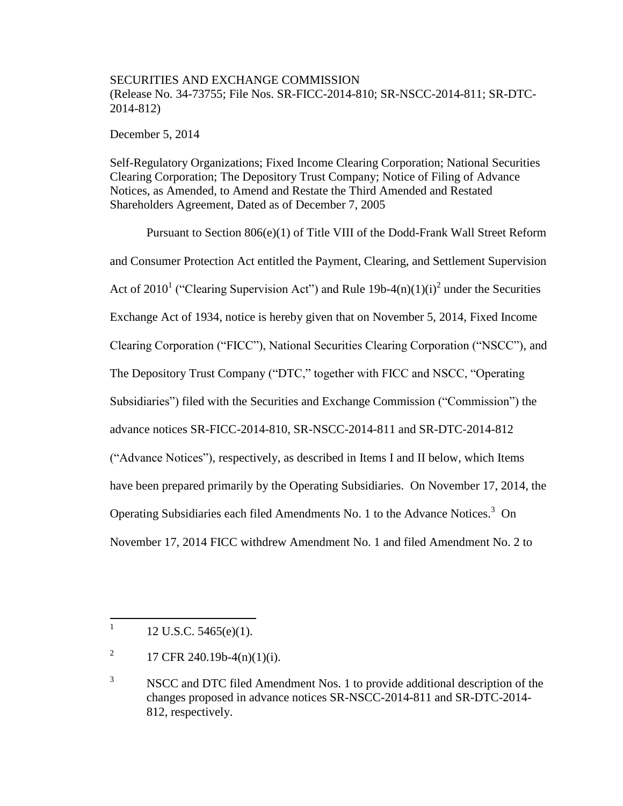## SECURITIES AND EXCHANGE COMMISSION (Release No. 34-73755; File Nos. SR-FICC-2014-810; SR-NSCC-2014-811; SR-DTC-2014-812)

December 5, 2014

Self-Regulatory Organizations; Fixed Income Clearing Corporation; National Securities Clearing Corporation; The Depository Trust Company; Notice of Filing of Advance Notices, as Amended, to Amend and Restate the Third Amended and Restated Shareholders Agreement, Dated as of December 7, 2005

Pursuant to Section 806(e)(1) of Title VIII of the Dodd-Frank Wall Street Reform and Consumer Protection Act entitled the Payment, Clearing, and Settlement Supervision Act of 2010<sup>1</sup> ("Clearing Supervision Act") and Rule 19b-4(n)(1)(i)<sup>2</sup> under the Securities Exchange Act of 1934, notice is hereby given that on November 5, 2014, Fixed Income Clearing Corporation ("FICC"), National Securities Clearing Corporation ("NSCC"), and The Depository Trust Company ("DTC," together with FICC and NSCC, "Operating Subsidiaries") filed with the Securities and Exchange Commission ("Commission") the advance notices SR-FICC-2014-810, SR-NSCC-2014-811 and SR-DTC-2014-812 ("Advance Notices"), respectively, as described in Items I and II below, which Items have been prepared primarily by the Operating Subsidiaries. On November 17, 2014, the Operating Subsidiaries each filed Amendments No. 1 to the Advance Notices.<sup>3</sup> On November 17, 2014 FICC withdrew Amendment No. 1 and filed Amendment No. 2 to

 $\frac{1}{1}$ 12 U.S.C. 5465(e)(1).

<sup>2</sup> 17 CFR 240.19b-4(n)(1)(i).

<sup>&</sup>lt;sup>3</sup> NSCC and DTC filed Amendment Nos. 1 to provide additional description of the changes proposed in advance notices SR-NSCC-2014-811 and SR-DTC-2014- 812, respectively.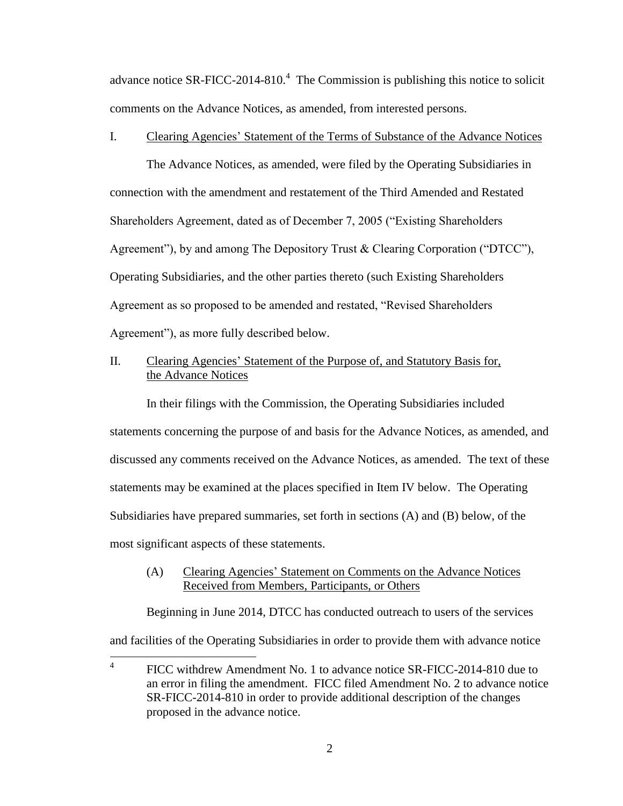advance notice SR-FICC-2014-810. $4$  The Commission is publishing this notice to solicit comments on the Advance Notices, as amended, from interested persons.

## I. Clearing Agencies' Statement of the Terms of Substance of the Advance Notices

The Advance Notices, as amended, were filed by the Operating Subsidiaries in connection with the amendment and restatement of the Third Amended and Restated Shareholders Agreement, dated as of December 7, 2005 ("Existing Shareholders Agreement"), by and among The Depository Trust & Clearing Corporation ("DTCC"), Operating Subsidiaries, and the other parties thereto (such Existing Shareholders Agreement as so proposed to be amended and restated, "Revised Shareholders Agreement"), as more fully described below.

## II. Clearing Agencies' Statement of the Purpose of, and Statutory Basis for, the Advance Notices

In their filings with the Commission, the Operating Subsidiaries included statements concerning the purpose of and basis for the Advance Notices, as amended, and discussed any comments received on the Advance Notices, as amended. The text of these statements may be examined at the places specified in Item IV below. The Operating Subsidiaries have prepared summaries, set forth in sections (A) and (B) below, of the most significant aspects of these statements.

## (A) Clearing Agencies' Statement on Comments on the Advance Notices Received from Members, Participants, or Others

Beginning in June 2014, DTCC has conducted outreach to users of the services and facilities of the Operating Subsidiaries in order to provide them with advance notice

 $\frac{1}{4}$ FICC withdrew Amendment No. 1 to advance notice SR-FICC-2014-810 due to an error in filing the amendment. FICC filed Amendment No. 2 to advance notice SR-FICC-2014-810 in order to provide additional description of the changes proposed in the advance notice.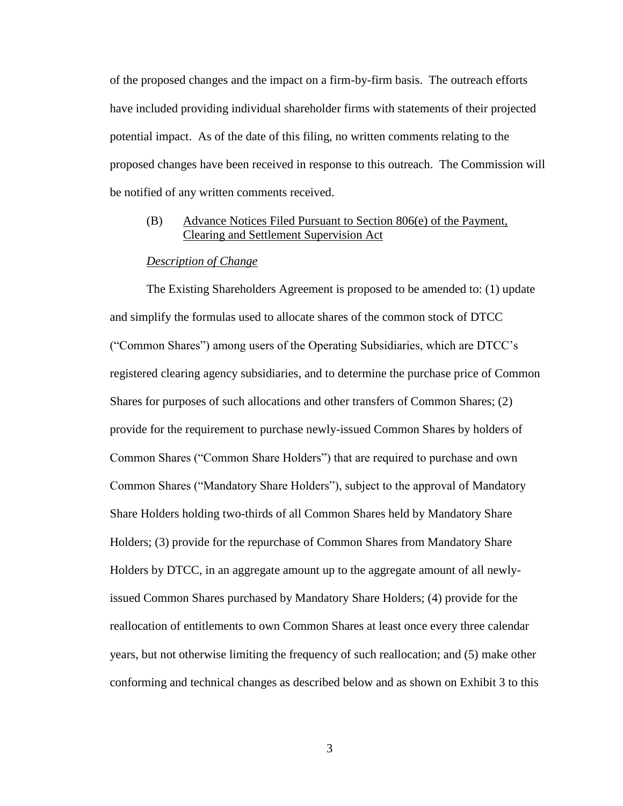of the proposed changes and the impact on a firm-by-firm basis. The outreach efforts have included providing individual shareholder firms with statements of their projected potential impact. As of the date of this filing, no written comments relating to the proposed changes have been received in response to this outreach. The Commission will be notified of any written comments received.

## (B) Advance Notices Filed Pursuant to Section 806(e) of the Payment, Clearing and Settlement Supervision Act

### *Description of Change*

The Existing Shareholders Agreement is proposed to be amended to: (1) update and simplify the formulas used to allocate shares of the common stock of DTCC ("Common Shares") among users of the Operating Subsidiaries, which are DTCC's registered clearing agency subsidiaries, and to determine the purchase price of Common Shares for purposes of such allocations and other transfers of Common Shares; (2) provide for the requirement to purchase newly-issued Common Shares by holders of Common Shares ("Common Share Holders") that are required to purchase and own Common Shares ("Mandatory Share Holders"), subject to the approval of Mandatory Share Holders holding two-thirds of all Common Shares held by Mandatory Share Holders; (3) provide for the repurchase of Common Shares from Mandatory Share Holders by DTCC, in an aggregate amount up to the aggregate amount of all newlyissued Common Shares purchased by Mandatory Share Holders; (4) provide for the reallocation of entitlements to own Common Shares at least once every three calendar years, but not otherwise limiting the frequency of such reallocation; and (5) make other conforming and technical changes as described below and as shown on Exhibit 3 to this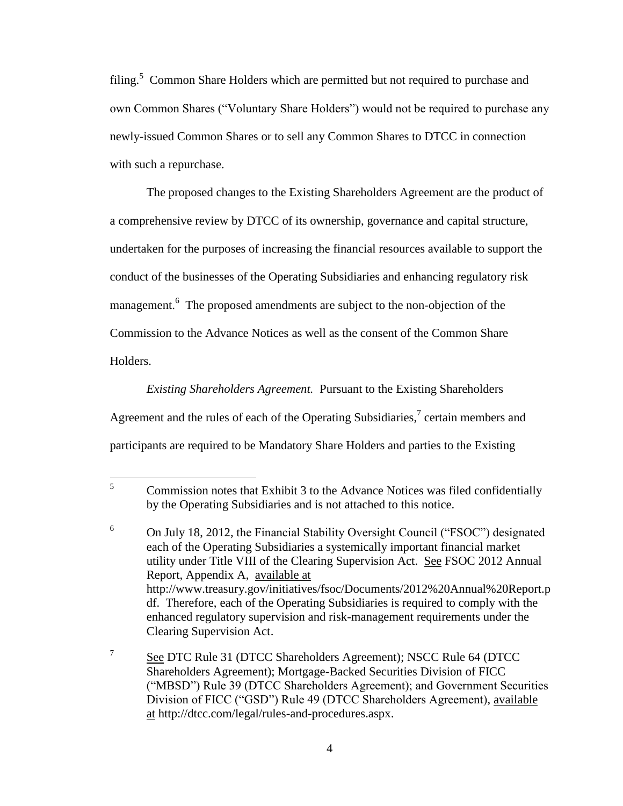filing.<sup>5</sup> Common Share Holders which are permitted but not required to purchase and own Common Shares ("Voluntary Share Holders") would not be required to purchase any newly-issued Common Shares or to sell any Common Shares to DTCC in connection with such a repurchase.

The proposed changes to the Existing Shareholders Agreement are the product of a comprehensive review by DTCC of its ownership, governance and capital structure, undertaken for the purposes of increasing the financial resources available to support the conduct of the businesses of the Operating Subsidiaries and enhancing regulatory risk management.<sup>6</sup> The proposed amendments are subject to the non-objection of the Commission to the Advance Notices as well as the consent of the Common Share Holders.

*Existing Shareholders Agreement.* Pursuant to the Existing Shareholders Agreement and the rules of each of the Operating Subsidiaries, $\alpha$ <sup>7</sup> certain members and participants are required to be Mandatory Share Holders and parties to the Existing

<sup>5</sup> <sup>5</sup> Commission notes that Exhibit 3 to the Advance Notices was filed confidentially by the Operating Subsidiaries and is not attached to this notice.

<sup>6</sup> On July 18, 2012, the Financial Stability Oversight Council ("FSOC") designated each of the Operating Subsidiaries a systemically important financial market utility under Title VIII of the Clearing Supervision Act. See FSOC 2012 Annual Report, Appendix A, available at http://www.treasury.gov/initiatives/fsoc/Documents/2012%20Annual%20Report.p df. Therefore, each of the Operating Subsidiaries is required to comply with the enhanced regulatory supervision and risk-management requirements under the Clearing Supervision Act.

<sup>7</sup> See DTC Rule 31 (DTCC Shareholders Agreement); NSCC Rule 64 (DTCC Shareholders Agreement); Mortgage-Backed Securities Division of FICC ("MBSD") Rule 39 (DTCC Shareholders Agreement); and Government Securities Division of FICC ("GSD") Rule 49 (DTCC Shareholders Agreement), available at http://dtcc.com/legal/rules-and-procedures.aspx.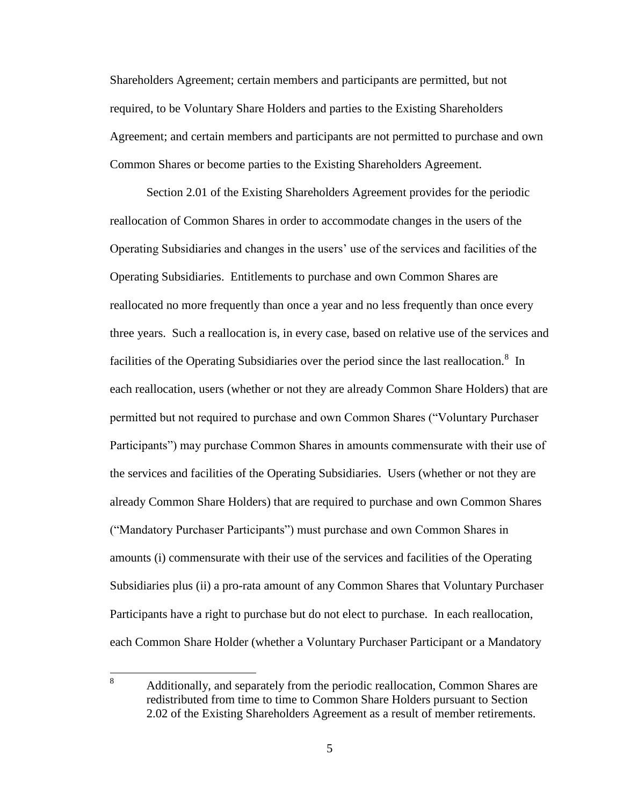Shareholders Agreement; certain members and participants are permitted, but not required, to be Voluntary Share Holders and parties to the Existing Shareholders Agreement; and certain members and participants are not permitted to purchase and own Common Shares or become parties to the Existing Shareholders Agreement.

Section 2.01 of the Existing Shareholders Agreement provides for the periodic reallocation of Common Shares in order to accommodate changes in the users of the Operating Subsidiaries and changes in the users' use of the services and facilities of the Operating Subsidiaries. Entitlements to purchase and own Common Shares are reallocated no more frequently than once a year and no less frequently than once every three years. Such a reallocation is, in every case, based on relative use of the services and facilities of the Operating Subsidiaries over the period since the last reallocation.<sup>8</sup> In each reallocation, users (whether or not they are already Common Share Holders) that are permitted but not required to purchase and own Common Shares ("Voluntary Purchaser Participants") may purchase Common Shares in amounts commensurate with their use of the services and facilities of the Operating Subsidiaries. Users (whether or not they are already Common Share Holders) that are required to purchase and own Common Shares ("Mandatory Purchaser Participants") must purchase and own Common Shares in amounts (i) commensurate with their use of the services and facilities of the Operating Subsidiaries plus (ii) a pro-rata amount of any Common Shares that Voluntary Purchaser Participants have a right to purchase but do not elect to purchase. In each reallocation, each Common Share Holder (whether a Voluntary Purchaser Participant or a Mandatory

<sup>8</sup> <sup>8</sup> Additionally, and separately from the periodic reallocation, Common Shares are redistributed from time to time to Common Share Holders pursuant to Section 2.02 of the Existing Shareholders Agreement as a result of member retirements.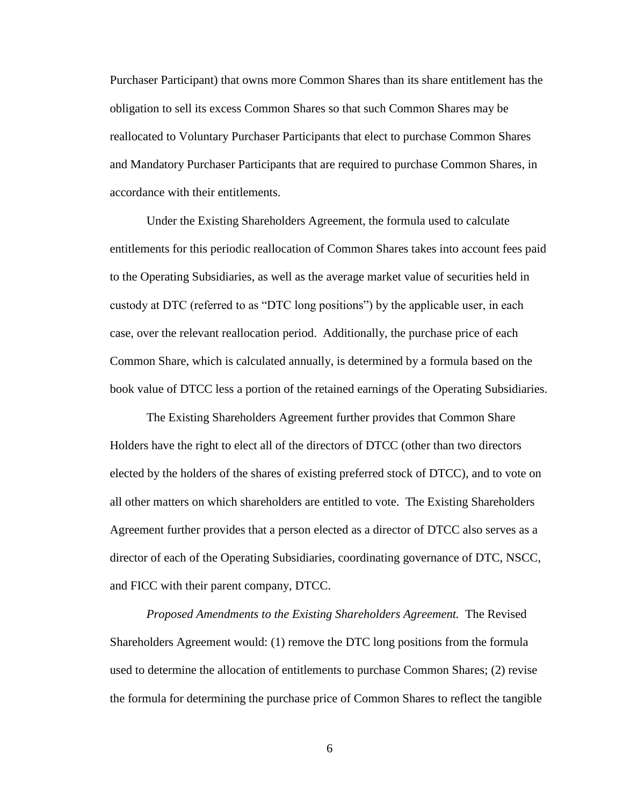Purchaser Participant) that owns more Common Shares than its share entitlement has the obligation to sell its excess Common Shares so that such Common Shares may be reallocated to Voluntary Purchaser Participants that elect to purchase Common Shares and Mandatory Purchaser Participants that are required to purchase Common Shares, in accordance with their entitlements.

Under the Existing Shareholders Agreement, the formula used to calculate entitlements for this periodic reallocation of Common Shares takes into account fees paid to the Operating Subsidiaries, as well as the average market value of securities held in custody at DTC (referred to as "DTC long positions") by the applicable user, in each case, over the relevant reallocation period. Additionally, the purchase price of each Common Share, which is calculated annually, is determined by a formula based on the book value of DTCC less a portion of the retained earnings of the Operating Subsidiaries.

The Existing Shareholders Agreement further provides that Common Share Holders have the right to elect all of the directors of DTCC (other than two directors elected by the holders of the shares of existing preferred stock of DTCC), and to vote on all other matters on which shareholders are entitled to vote. The Existing Shareholders Agreement further provides that a person elected as a director of DTCC also serves as a director of each of the Operating Subsidiaries, coordinating governance of DTC, NSCC, and FICC with their parent company, DTCC.

*Proposed Amendments to the Existing Shareholders Agreement.* The Revised Shareholders Agreement would: (1) remove the DTC long positions from the formula used to determine the allocation of entitlements to purchase Common Shares; (2) revise the formula for determining the purchase price of Common Shares to reflect the tangible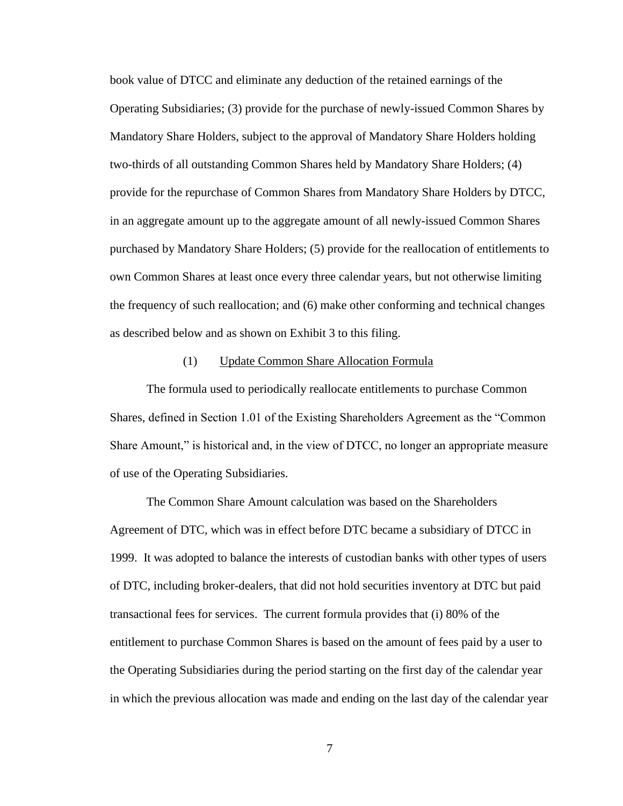book value of DTCC and eliminate any deduction of the retained earnings of the Operating Subsidiaries; (3) provide for the purchase of newly-issued Common Shares by Mandatory Share Holders, subject to the approval of Mandatory Share Holders holding two-thirds of all outstanding Common Shares held by Mandatory Share Holders; (4) provide for the repurchase of Common Shares from Mandatory Share Holders by DTCC, in an aggregate amount up to the aggregate amount of all newly-issued Common Shares purchased by Mandatory Share Holders; (5) provide for the reallocation of entitlements to own Common Shares at least once every three calendar years, but not otherwise limiting the frequency of such reallocation; and (6) make other conforming and technical changes as described below and as shown on Exhibit 3 to this filing.

#### (1) Update Common Share Allocation Formula

The formula used to periodically reallocate entitlements to purchase Common Shares, defined in Section 1.01 of the Existing Shareholders Agreement as the "Common Share Amount," is historical and, in the view of DTCC, no longer an appropriate measure of use of the Operating Subsidiaries.

The Common Share Amount calculation was based on the Shareholders Agreement of DTC, which was in effect before DTC became a subsidiary of DTCC in 1999. It was adopted to balance the interests of custodian banks with other types of users of DTC, including broker-dealers, that did not hold securities inventory at DTC but paid transactional fees for services. The current formula provides that (i) 80% of the entitlement to purchase Common Shares is based on the amount of fees paid by a user to the Operating Subsidiaries during the period starting on the first day of the calendar year in which the previous allocation was made and ending on the last day of the calendar year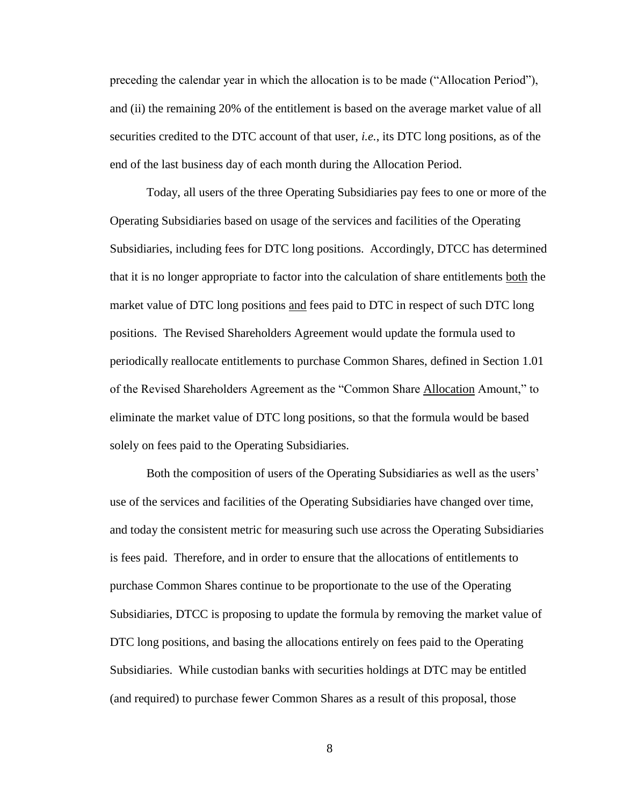preceding the calendar year in which the allocation is to be made ("Allocation Period"), and (ii) the remaining 20% of the entitlement is based on the average market value of all securities credited to the DTC account of that user, *i.e.*, its DTC long positions, as of the end of the last business day of each month during the Allocation Period.

Today, all users of the three Operating Subsidiaries pay fees to one or more of the Operating Subsidiaries based on usage of the services and facilities of the Operating Subsidiaries, including fees for DTC long positions. Accordingly, DTCC has determined that it is no longer appropriate to factor into the calculation of share entitlements both the market value of DTC long positions and fees paid to DTC in respect of such DTC long positions. The Revised Shareholders Agreement would update the formula used to periodically reallocate entitlements to purchase Common Shares, defined in Section 1.01 of the Revised Shareholders Agreement as the "Common Share Allocation Amount," to eliminate the market value of DTC long positions, so that the formula would be based solely on fees paid to the Operating Subsidiaries.

Both the composition of users of the Operating Subsidiaries as well as the users' use of the services and facilities of the Operating Subsidiaries have changed over time, and today the consistent metric for measuring such use across the Operating Subsidiaries is fees paid. Therefore, and in order to ensure that the allocations of entitlements to purchase Common Shares continue to be proportionate to the use of the Operating Subsidiaries, DTCC is proposing to update the formula by removing the market value of DTC long positions, and basing the allocations entirely on fees paid to the Operating Subsidiaries. While custodian banks with securities holdings at DTC may be entitled (and required) to purchase fewer Common Shares as a result of this proposal, those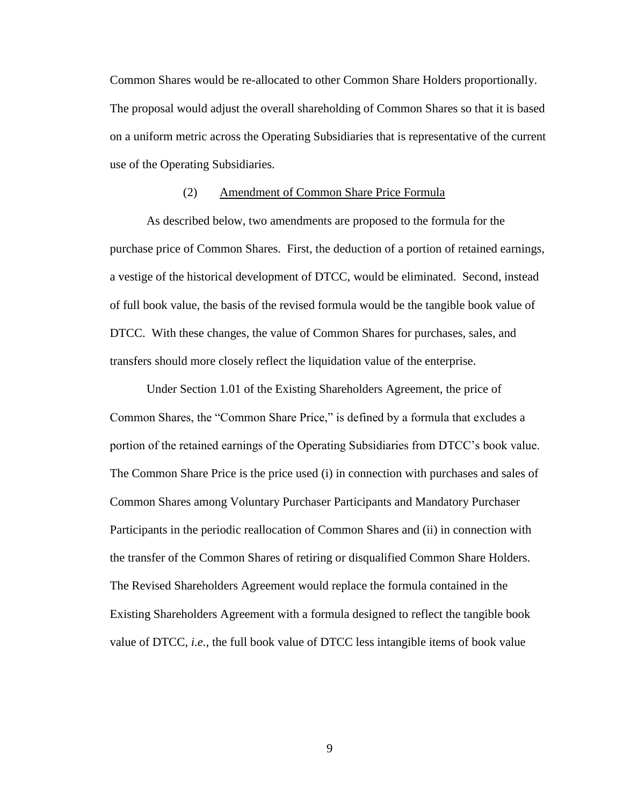Common Shares would be re-allocated to other Common Share Holders proportionally. The proposal would adjust the overall shareholding of Common Shares so that it is based on a uniform metric across the Operating Subsidiaries that is representative of the current use of the Operating Subsidiaries.

### (2) Amendment of Common Share Price Formula

As described below, two amendments are proposed to the formula for the purchase price of Common Shares. First, the deduction of a portion of retained earnings, a vestige of the historical development of DTCC, would be eliminated. Second, instead of full book value, the basis of the revised formula would be the tangible book value of DTCC. With these changes, the value of Common Shares for purchases, sales, and transfers should more closely reflect the liquidation value of the enterprise.

Under Section 1.01 of the Existing Shareholders Agreement, the price of Common Shares, the "Common Share Price," is defined by a formula that excludes a portion of the retained earnings of the Operating Subsidiaries from DTCC's book value. The Common Share Price is the price used (i) in connection with purchases and sales of Common Shares among Voluntary Purchaser Participants and Mandatory Purchaser Participants in the periodic reallocation of Common Shares and (ii) in connection with the transfer of the Common Shares of retiring or disqualified Common Share Holders. The Revised Shareholders Agreement would replace the formula contained in the Existing Shareholders Agreement with a formula designed to reflect the tangible book value of DTCC, *i.e.*, the full book value of DTCC less intangible items of book value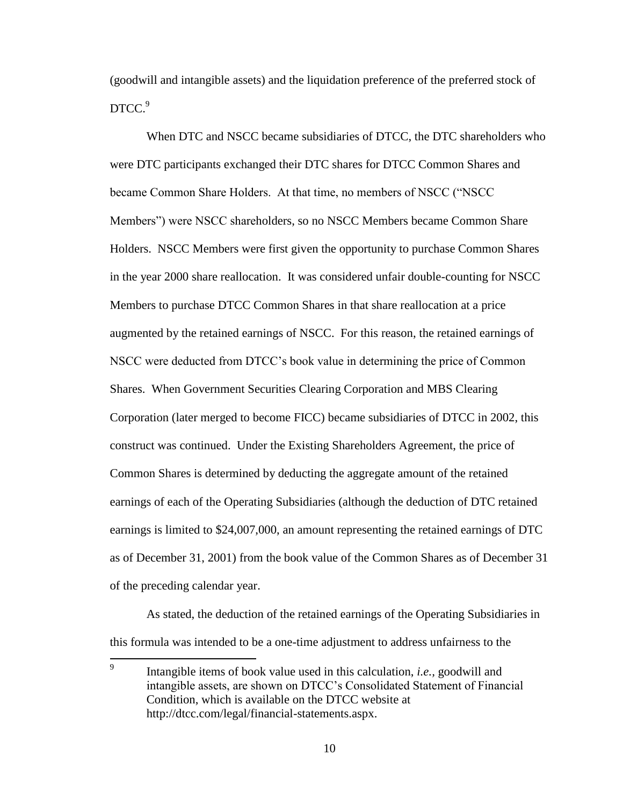(goodwill and intangible assets) and the liquidation preference of the preferred stock of DTCC.<sup>9</sup>

When DTC and NSCC became subsidiaries of DTCC, the DTC shareholders who were DTC participants exchanged their DTC shares for DTCC Common Shares and became Common Share Holders. At that time, no members of NSCC ("NSCC Members") were NSCC shareholders, so no NSCC Members became Common Share Holders. NSCC Members were first given the opportunity to purchase Common Shares in the year 2000 share reallocation. It was considered unfair double-counting for NSCC Members to purchase DTCC Common Shares in that share reallocation at a price augmented by the retained earnings of NSCC. For this reason, the retained earnings of NSCC were deducted from DTCC's book value in determining the price of Common Shares. When Government Securities Clearing Corporation and MBS Clearing Corporation (later merged to become FICC) became subsidiaries of DTCC in 2002, this construct was continued. Under the Existing Shareholders Agreement, the price of Common Shares is determined by deducting the aggregate amount of the retained earnings of each of the Operating Subsidiaries (although the deduction of DTC retained earnings is limited to \$24,007,000, an amount representing the retained earnings of DTC as of December 31, 2001) from the book value of the Common Shares as of December 31 of the preceding calendar year.

As stated, the deduction of the retained earnings of the Operating Subsidiaries in this formula was intended to be a one-time adjustment to address unfairness to the

 9 Intangible items of book value used in this calculation, *i.e.,* goodwill and intangible assets, are shown on DTCC's Consolidated Statement of Financial Condition, which is available on the DTCC website at http://dtcc.com/legal/financial-statements.aspx.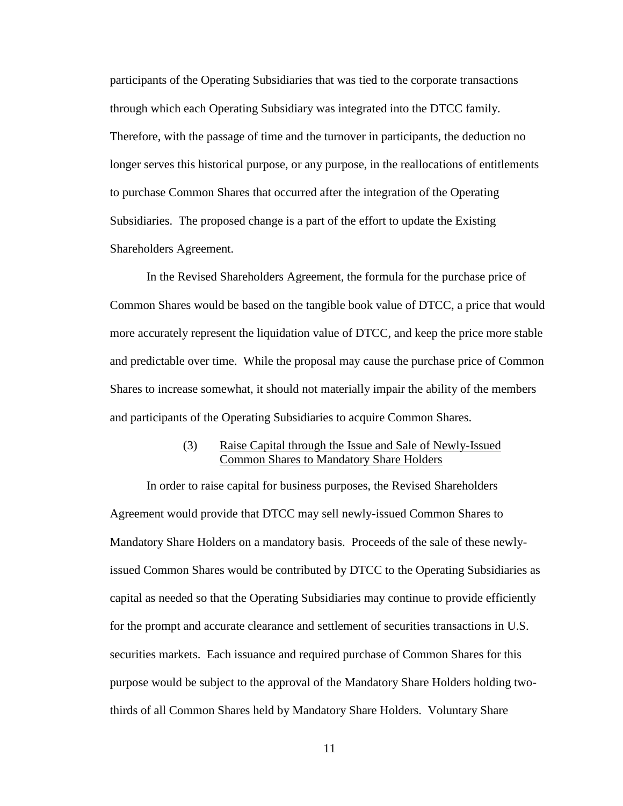participants of the Operating Subsidiaries that was tied to the corporate transactions through which each Operating Subsidiary was integrated into the DTCC family. Therefore, with the passage of time and the turnover in participants, the deduction no longer serves this historical purpose, or any purpose, in the reallocations of entitlements to purchase Common Shares that occurred after the integration of the Operating Subsidiaries. The proposed change is a part of the effort to update the Existing Shareholders Agreement.

In the Revised Shareholders Agreement, the formula for the purchase price of Common Shares would be based on the tangible book value of DTCC, a price that would more accurately represent the liquidation value of DTCC, and keep the price more stable and predictable over time. While the proposal may cause the purchase price of Common Shares to increase somewhat, it should not materially impair the ability of the members and participants of the Operating Subsidiaries to acquire Common Shares.

### (3) Raise Capital through the Issue and Sale of Newly-Issued Common Shares to Mandatory Share Holders

In order to raise capital for business purposes, the Revised Shareholders Agreement would provide that DTCC may sell newly-issued Common Shares to Mandatory Share Holders on a mandatory basis. Proceeds of the sale of these newlyissued Common Shares would be contributed by DTCC to the Operating Subsidiaries as capital as needed so that the Operating Subsidiaries may continue to provide efficiently for the prompt and accurate clearance and settlement of securities transactions in U.S. securities markets. Each issuance and required purchase of Common Shares for this purpose would be subject to the approval of the Mandatory Share Holders holding twothirds of all Common Shares held by Mandatory Share Holders. Voluntary Share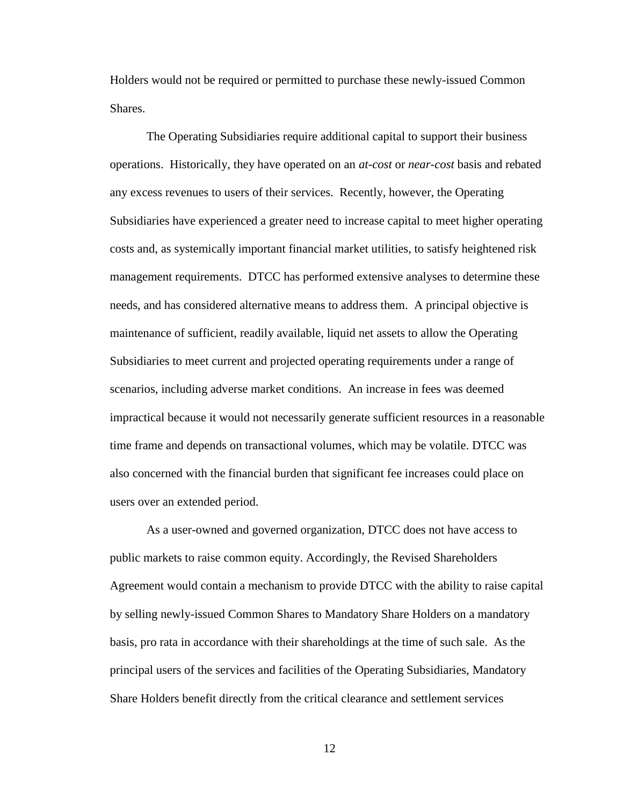Holders would not be required or permitted to purchase these newly-issued Common Shares.

The Operating Subsidiaries require additional capital to support their business operations. Historically, they have operated on an *at-cost* or *near-cost* basis and rebated any excess revenues to users of their services. Recently, however, the Operating Subsidiaries have experienced a greater need to increase capital to meet higher operating costs and, as systemically important financial market utilities, to satisfy heightened risk management requirements. DTCC has performed extensive analyses to determine these needs, and has considered alternative means to address them. A principal objective is maintenance of sufficient, readily available, liquid net assets to allow the Operating Subsidiaries to meet current and projected operating requirements under a range of scenarios, including adverse market conditions. An increase in fees was deemed impractical because it would not necessarily generate sufficient resources in a reasonable time frame and depends on transactional volumes, which may be volatile. DTCC was also concerned with the financial burden that significant fee increases could place on users over an extended period.

As a user-owned and governed organization, DTCC does not have access to public markets to raise common equity. Accordingly, the Revised Shareholders Agreement would contain a mechanism to provide DTCC with the ability to raise capital by selling newly-issued Common Shares to Mandatory Share Holders on a mandatory basis, pro rata in accordance with their shareholdings at the time of such sale. As the principal users of the services and facilities of the Operating Subsidiaries, Mandatory Share Holders benefit directly from the critical clearance and settlement services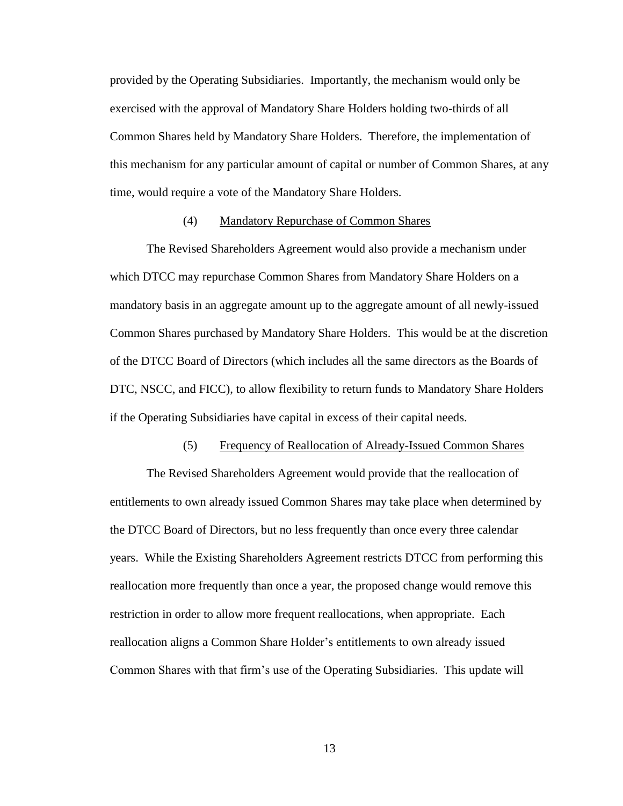provided by the Operating Subsidiaries. Importantly, the mechanism would only be exercised with the approval of Mandatory Share Holders holding two-thirds of all Common Shares held by Mandatory Share Holders. Therefore, the implementation of this mechanism for any particular amount of capital or number of Common Shares, at any time, would require a vote of the Mandatory Share Holders.

#### (4) Mandatory Repurchase of Common Shares

The Revised Shareholders Agreement would also provide a mechanism under which DTCC may repurchase Common Shares from Mandatory Share Holders on a mandatory basis in an aggregate amount up to the aggregate amount of all newly-issued Common Shares purchased by Mandatory Share Holders. This would be at the discretion of the DTCC Board of Directors (which includes all the same directors as the Boards of DTC, NSCC, and FICC), to allow flexibility to return funds to Mandatory Share Holders if the Operating Subsidiaries have capital in excess of their capital needs.

#### (5) Frequency of Reallocation of Already-Issued Common Shares

The Revised Shareholders Agreement would provide that the reallocation of entitlements to own already issued Common Shares may take place when determined by the DTCC Board of Directors, but no less frequently than once every three calendar years. While the Existing Shareholders Agreement restricts DTCC from performing this reallocation more frequently than once a year, the proposed change would remove this restriction in order to allow more frequent reallocations, when appropriate. Each reallocation aligns a Common Share Holder's entitlements to own already issued Common Shares with that firm's use of the Operating Subsidiaries. This update will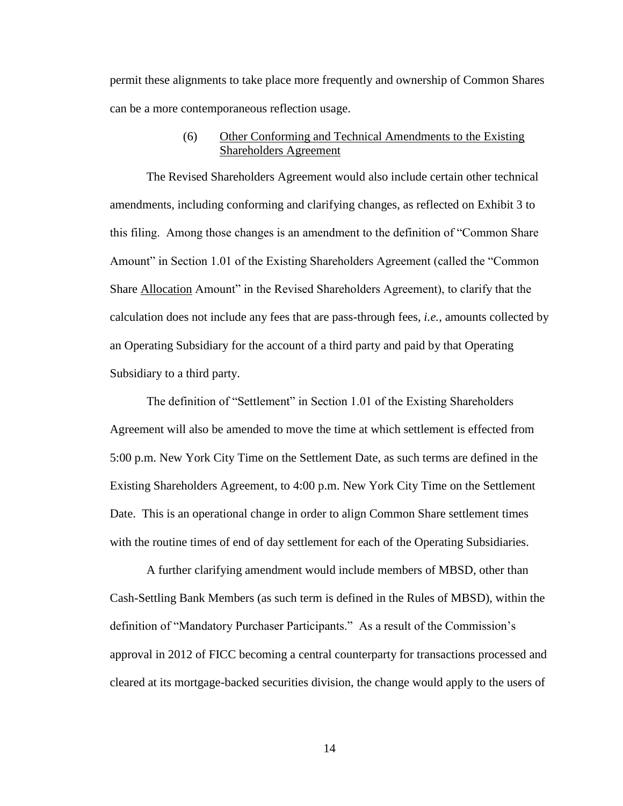permit these alignments to take place more frequently and ownership of Common Shares can be a more contemporaneous reflection usage.

## (6) Other Conforming and Technical Amendments to the Existing Shareholders Agreement

The Revised Shareholders Agreement would also include certain other technical amendments, including conforming and clarifying changes, as reflected on Exhibit 3 to this filing. Among those changes is an amendment to the definition of "Common Share Amount" in Section 1.01 of the Existing Shareholders Agreement (called the "Common Share Allocation Amount" in the Revised Shareholders Agreement), to clarify that the calculation does not include any fees that are pass-through fees, *i.e.*, amounts collected by an Operating Subsidiary for the account of a third party and paid by that Operating Subsidiary to a third party.

The definition of "Settlement" in Section 1.01 of the Existing Shareholders Agreement will also be amended to move the time at which settlement is effected from 5:00 p.m. New York City Time on the Settlement Date, as such terms are defined in the Existing Shareholders Agreement, to 4:00 p.m. New York City Time on the Settlement Date. This is an operational change in order to align Common Share settlement times with the routine times of end of day settlement for each of the Operating Subsidiaries.

A further clarifying amendment would include members of MBSD, other than Cash-Settling Bank Members (as such term is defined in the Rules of MBSD), within the definition of "Mandatory Purchaser Participants." As a result of the Commission's approval in 2012 of FICC becoming a central counterparty for transactions processed and cleared at its mortgage-backed securities division, the change would apply to the users of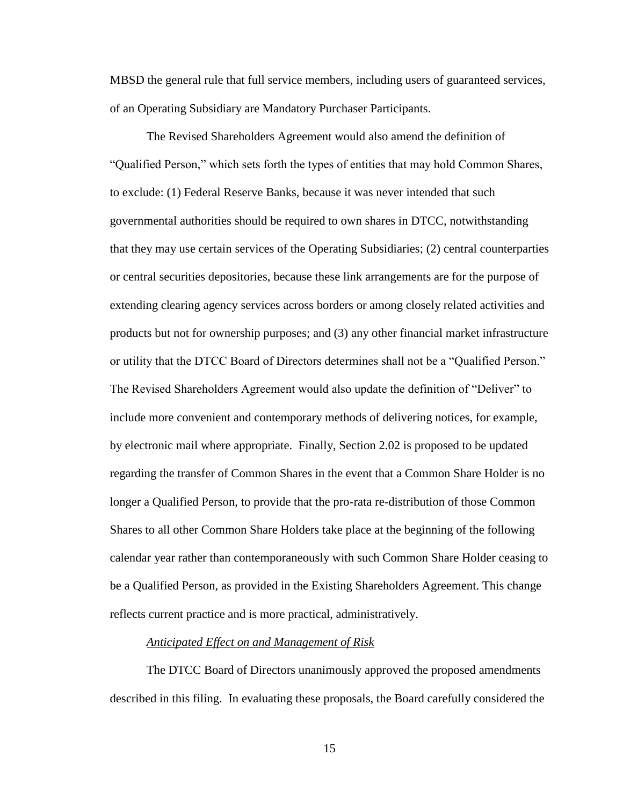MBSD the general rule that full service members, including users of guaranteed services, of an Operating Subsidiary are Mandatory Purchaser Participants.

The Revised Shareholders Agreement would also amend the definition of "Qualified Person," which sets forth the types of entities that may hold Common Shares, to exclude: (1) Federal Reserve Banks, because it was never intended that such governmental authorities should be required to own shares in DTCC, notwithstanding that they may use certain services of the Operating Subsidiaries; (2) central counterparties or central securities depositories, because these link arrangements are for the purpose of extending clearing agency services across borders or among closely related activities and products but not for ownership purposes; and (3) any other financial market infrastructure or utility that the DTCC Board of Directors determines shall not be a "Qualified Person." The Revised Shareholders Agreement would also update the definition of "Deliver" to include more convenient and contemporary methods of delivering notices, for example, by electronic mail where appropriate. Finally, Section 2.02 is proposed to be updated regarding the transfer of Common Shares in the event that a Common Share Holder is no longer a Qualified Person, to provide that the pro-rata re-distribution of those Common Shares to all other Common Share Holders take place at the beginning of the following calendar year rather than contemporaneously with such Common Share Holder ceasing to be a Qualified Person, as provided in the Existing Shareholders Agreement. This change reflects current practice and is more practical, administratively.

### *Anticipated Effect on and Management of Risk*

The DTCC Board of Directors unanimously approved the proposed amendments described in this filing. In evaluating these proposals, the Board carefully considered the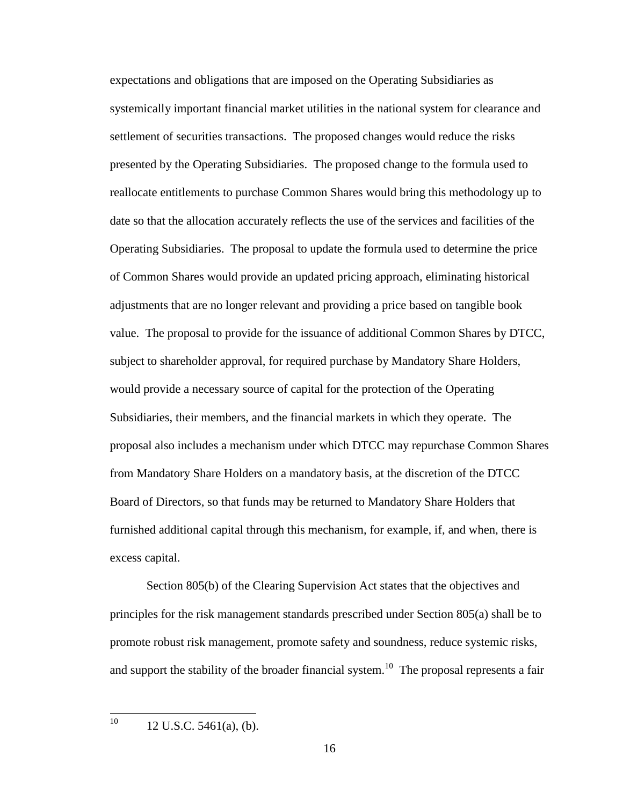expectations and obligations that are imposed on the Operating Subsidiaries as systemically important financial market utilities in the national system for clearance and settlement of securities transactions. The proposed changes would reduce the risks presented by the Operating Subsidiaries. The proposed change to the formula used to reallocate entitlements to purchase Common Shares would bring this methodology up to date so that the allocation accurately reflects the use of the services and facilities of the Operating Subsidiaries. The proposal to update the formula used to determine the price of Common Shares would provide an updated pricing approach, eliminating historical adjustments that are no longer relevant and providing a price based on tangible book value. The proposal to provide for the issuance of additional Common Shares by DTCC, subject to shareholder approval, for required purchase by Mandatory Share Holders, would provide a necessary source of capital for the protection of the Operating Subsidiaries, their members, and the financial markets in which they operate. The proposal also includes a mechanism under which DTCC may repurchase Common Shares from Mandatory Share Holders on a mandatory basis, at the discretion of the DTCC Board of Directors, so that funds may be returned to Mandatory Share Holders that furnished additional capital through this mechanism, for example, if, and when, there is excess capital.

Section 805(b) of the Clearing Supervision Act states that the objectives and principles for the risk management standards prescribed under Section 805(a) shall be to promote robust risk management, promote safety and soundness, reduce systemic risks, and support the stability of the broader financial system.<sup>10</sup> The proposal represents a fair

10  $12$  U.S.C.  $5461(a)$ , (b).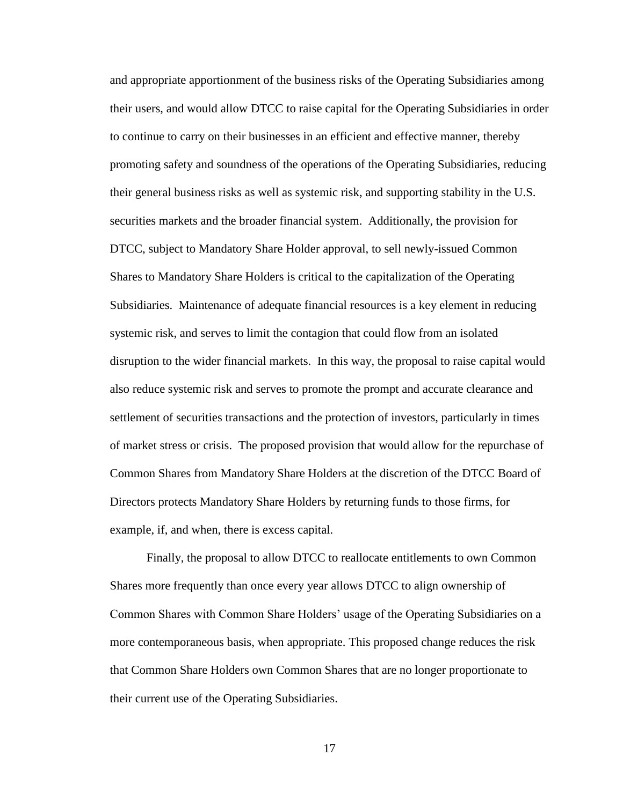and appropriate apportionment of the business risks of the Operating Subsidiaries among their users, and would allow DTCC to raise capital for the Operating Subsidiaries in order to continue to carry on their businesses in an efficient and effective manner, thereby promoting safety and soundness of the operations of the Operating Subsidiaries, reducing their general business risks as well as systemic risk, and supporting stability in the U.S. securities markets and the broader financial system. Additionally, the provision for DTCC, subject to Mandatory Share Holder approval, to sell newly-issued Common Shares to Mandatory Share Holders is critical to the capitalization of the Operating Subsidiaries. Maintenance of adequate financial resources is a key element in reducing systemic risk, and serves to limit the contagion that could flow from an isolated disruption to the wider financial markets. In this way, the proposal to raise capital would also reduce systemic risk and serves to promote the prompt and accurate clearance and settlement of securities transactions and the protection of investors, particularly in times of market stress or crisis. The proposed provision that would allow for the repurchase of Common Shares from Mandatory Share Holders at the discretion of the DTCC Board of Directors protects Mandatory Share Holders by returning funds to those firms, for example, if, and when, there is excess capital.

Finally, the proposal to allow DTCC to reallocate entitlements to own Common Shares more frequently than once every year allows DTCC to align ownership of Common Shares with Common Share Holders' usage of the Operating Subsidiaries on a more contemporaneous basis, when appropriate. This proposed change reduces the risk that Common Share Holders own Common Shares that are no longer proportionate to their current use of the Operating Subsidiaries.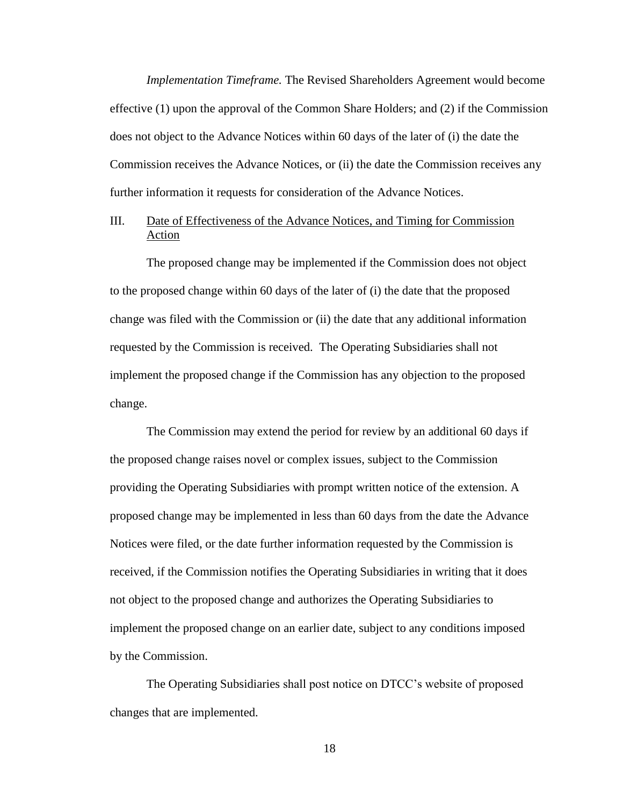*Implementation Timeframe.* The Revised Shareholders Agreement would become effective (1) upon the approval of the Common Share Holders; and (2) if the Commission does not object to the Advance Notices within 60 days of the later of (i) the date the Commission receives the Advance Notices, or (ii) the date the Commission receives any further information it requests for consideration of the Advance Notices.

## III. Date of Effectiveness of the Advance Notices, and Timing for Commission Action

The proposed change may be implemented if the Commission does not object to the proposed change within 60 days of the later of (i) the date that the proposed change was filed with the Commission or (ii) the date that any additional information requested by the Commission is received. The Operating Subsidiaries shall not implement the proposed change if the Commission has any objection to the proposed change.

The Commission may extend the period for review by an additional 60 days if the proposed change raises novel or complex issues, subject to the Commission providing the Operating Subsidiaries with prompt written notice of the extension. A proposed change may be implemented in less than 60 days from the date the Advance Notices were filed, or the date further information requested by the Commission is received, if the Commission notifies the Operating Subsidiaries in writing that it does not object to the proposed change and authorizes the Operating Subsidiaries to implement the proposed change on an earlier date, subject to any conditions imposed by the Commission.

The Operating Subsidiaries shall post notice on DTCC's website of proposed changes that are implemented.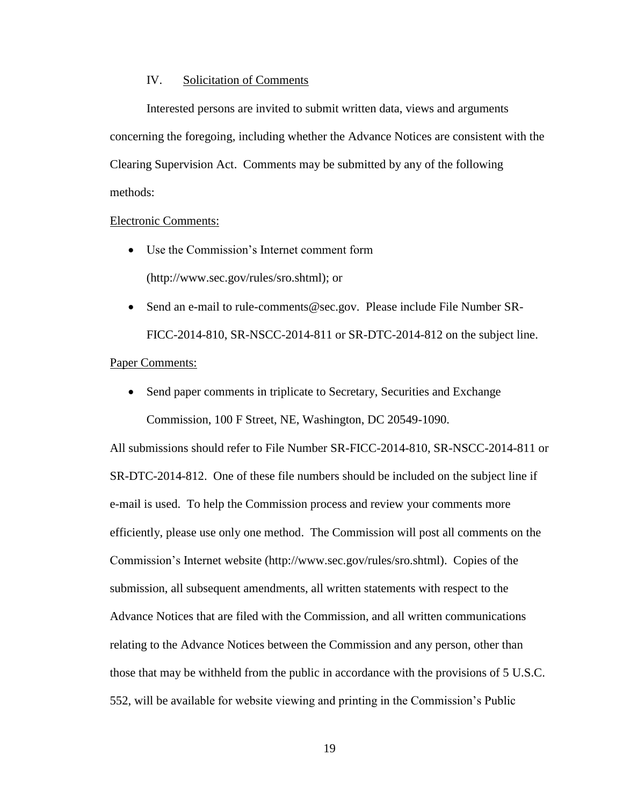## IV. Solicitation of Comments

Interested persons are invited to submit written data, views and arguments concerning the foregoing, including whether the Advance Notices are consistent with the Clearing Supervision Act. Comments may be submitted by any of the following methods:

### Electronic Comments:

- Use the Commission's Internet comment form (http://www.sec.gov/rules/sro.shtml); or
- Send an e-mail to rule-comments@sec.gov. Please include File Number SR-FICC-2014-810, SR-NSCC-2014-811 or SR-DTC-2014-812 on the subject line.

# Paper Comments:

• Send paper comments in triplicate to Secretary, Securities and Exchange Commission, 100 F Street, NE, Washington, DC 20549-1090.

All submissions should refer to File Number SR-FICC-2014-810, SR-NSCC-2014-811 or SR-DTC-2014-812. One of these file numbers should be included on the subject line if e-mail is used. To help the Commission process and review your comments more efficiently, please use only one method. The Commission will post all comments on the Commission's Internet website (http://www.sec.gov/rules/sro.shtml). Copies of the submission, all subsequent amendments, all written statements with respect to the Advance Notices that are filed with the Commission, and all written communications relating to the Advance Notices between the Commission and any person, other than those that may be withheld from the public in accordance with the provisions of 5 U.S.C. 552, will be available for website viewing and printing in the Commission's Public